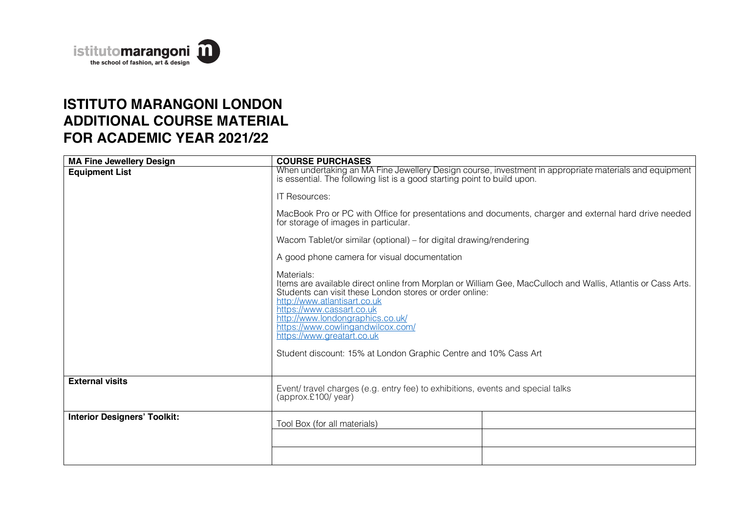

## **ISTITUTO MARANGONI LONDON ADDITIONAL COURSE MATERIAL FOR ACADEMIC YEAR 2021/22**

| <b>MA Fine Jewellery Design</b>     | <b>COURSE PURCHASES</b>                                                                                                                                                                                                                                                                                                                                                                                                      |  |  |
|-------------------------------------|------------------------------------------------------------------------------------------------------------------------------------------------------------------------------------------------------------------------------------------------------------------------------------------------------------------------------------------------------------------------------------------------------------------------------|--|--|
| <b>Equipment List</b>               | When undertaking an MA Fine Jewellery Design course, investment in appropriate materials and equipment<br>is essential. The following list is a good starting point to build upon.<br>IT Resources:                                                                                                                                                                                                                          |  |  |
|                                     |                                                                                                                                                                                                                                                                                                                                                                                                                              |  |  |
|                                     | MacBook Pro or PC with Office for presentations and documents, charger and external hard drive needed<br>for storage of images in particular.                                                                                                                                                                                                                                                                                |  |  |
|                                     | Wacom Tablet/or similar (optional) – for digital drawing/rendering                                                                                                                                                                                                                                                                                                                                                           |  |  |
|                                     | A good phone camera for visual documentation                                                                                                                                                                                                                                                                                                                                                                                 |  |  |
|                                     | Materials:<br>Items are available direct online from Morplan or William Gee, MacCulloch and Wallis, Atlantis or Cass Arts.<br>Students can visit these London stores or order online:<br>http://www.atlantisart.co.uk<br>https://www.cassart.co.uk<br>http://www.londongraphics.co.uk/<br>https://www.cowlingandwilcox.com/<br>https://www.greatart.co.uk<br>Student discount: 15% at London Graphic Centre and 10% Cass Art |  |  |
| <b>External visits</b>              | Event/ travel charges (e.g. entry fee) to exhibitions, events and special talks<br>(approx.£100/year)                                                                                                                                                                                                                                                                                                                        |  |  |
| <b>Interior Designers' Toolkit:</b> | Tool Box (for all materials)                                                                                                                                                                                                                                                                                                                                                                                                 |  |  |
|                                     |                                                                                                                                                                                                                                                                                                                                                                                                                              |  |  |
|                                     |                                                                                                                                                                                                                                                                                                                                                                                                                              |  |  |